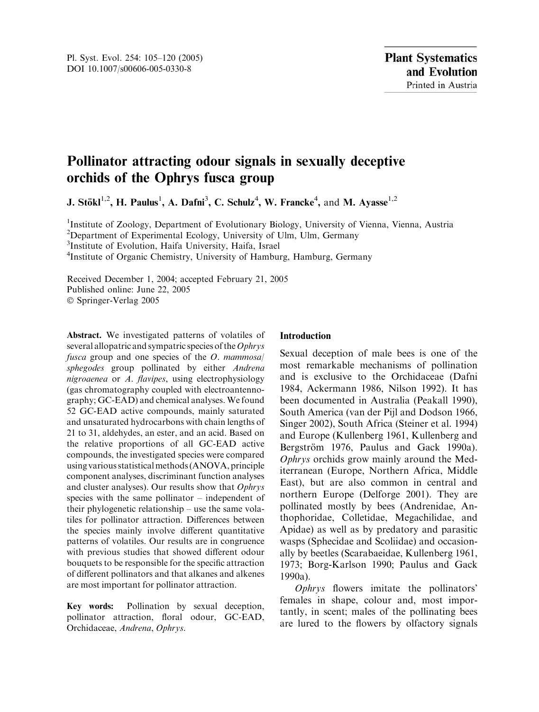# Pollinator attracting odour signals in sexually deceptive orchids of the Ophrys fusca group

J. Stökl<sup>1,2</sup>, H. Paulus<sup>1</sup>, A. Dafni<sup>3</sup>, C. Schulz<sup>4</sup>, W. Francke<sup>4</sup>, and M. Ayasse<sup>1,2</sup>

<sup>1</sup>Institute of Zoology, Department of Evolutionary Biology, University of Vienna, Vienna, Austria

<sup>2</sup>Department of Experimental Ecology, University of Ulm, Ulm, Germany

3 Institute of Evolution, Haifa University, Haifa, Israel

<sup>4</sup>Institute of Organic Chemistry, University of Hamburg, Hamburg, Germany

Received December 1, 2004; accepted February 21, 2005 Published online: June 22, 2005 Springer-Verlag 2005

Abstract. We investigated patterns of volatiles of several allopatric and sympatric species of the  $Ophrys$ fusca group and one species of the  $O$ . mammosa sphegodes group pollinated by either Andrena nigroaenea or A. flavipes, using electrophysiology (gas chromatography coupled with electroantennography; GC-EAD) and chemical analyses. We found 52 GC-EAD active compounds, mainly saturated and unsaturated hydrocarbons with chain lengths of 21 to 31, aldehydes, an ester, and an acid. Based on the relative proportions of all GC-EAD active compounds, the investigated species were compared using various statistical methods (ANOVA, principle component analyses, discriminant function analyses and cluster analyses). Our results show that Ophrys species with the same pollinator – independent of their phylogenetic relationship – use the same volatiles for pollinator attraction. Differences between the species mainly involve different quantitative patterns of volatiles. Our results are in congruence with previous studies that showed different odour bouquets to be responsible for the specific attraction of different pollinators and that alkanes and alkenes are most important for pollinator attraction.

Key words: Pollination by sexual deception, pollinator attraction, floral odour, GC-EAD, Orchidaceae, Andrena, Ophrys.

## Introduction

Sexual deception of male bees is one of the most remarkable mechanisms of pollination and is exclusive to the Orchidaceae (Dafni 1984, Ackermann 1986, Nilson 1992). It has been documented in Australia (Peakall 1990), South America (van der Pijl and Dodson 1966, Singer 2002), South Africa (Steiner et al. 1994) and Europe (Kullenberg 1961, Kullenberg and Bergström 1976, Paulus and Gack 1990a). Ophrys orchids grow mainly around the Mediterranean (Europe, Northern Africa, Middle East), but are also common in central and northern Europe (Delforge 2001). They are pollinated mostly by bees (Andrenidae, Anthophoridae, Colletidae, Megachilidae, and Apidae) as well as by predatory and parasitic wasps (Sphecidae and Scoliidae) and occasionally by beetles (Scarabaeidae, Kullenberg 1961, 1973; Borg-Karlson 1990; Paulus and Gack 1990a).

Ophrys flowers imitate the pollinators' females in shape, colour and, most importantly, in scent; males of the pollinating bees are lured to the flowers by olfactory signals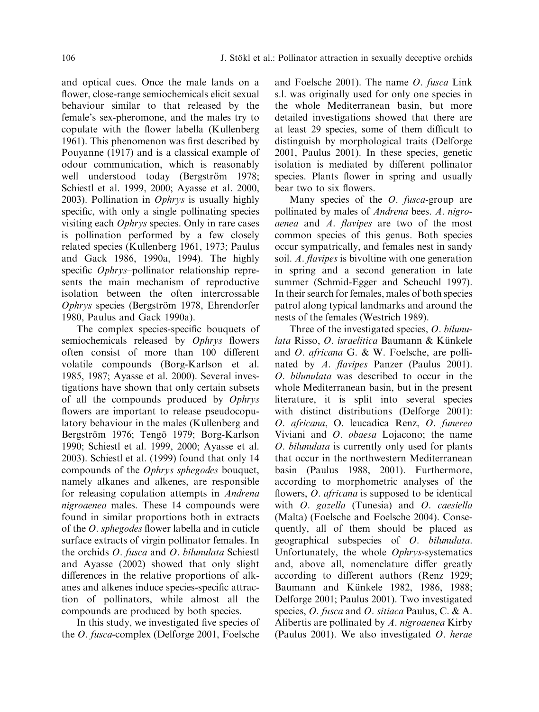and optical cues. Once the male lands on a flower, close-range semiochemicals elicit sexual behaviour similar to that released by the female's sex-pheromone, and the males try to copulate with the flower labella (Kullenberg 1961). This phenomenon was first described by Pouyanne (1917) and is a classical example of odour communication, which is reasonably well understood today (Bergström 1978; Schiestl et al. 1999, 2000; Ayasse et al. 2000, 2003). Pollination in Ophrys is usually highly specific, with only a single pollinating species visiting each Ophrys species. Only in rare cases is pollination performed by a few closely related species (Kullenberg 1961, 1973; Paulus and Gack 1986, 1990a, 1994). The highly specific Ophrys–pollinator relationship represents the main mechanism of reproductive isolation between the often intercrossable Ophrys species (Bergström 1978, Ehrendorfer 1980, Paulus and Gack 1990a).

The complex species-specific bouquets of semiochemicals released by Ophrys flowers often consist of more than 100 different volatile compounds (Borg-Karlson et al. 1985, 1987; Ayasse et al. 2000). Several investigations have shown that only certain subsets of all the compounds produced by Ophrys flowers are important to release pseudocopulatory behaviour in the males (Kullenberg and Bergström 1976; Tengö 1979; Borg-Karlson 1990; Schiestl et al. 1999, 2000; Ayasse et al. 2003). Schiestl et al. (1999) found that only 14 compounds of the Ophrys sphegodes bouquet, namely alkanes and alkenes, are responsible for releasing copulation attempts in Andrena nigroaenea males. These 14 compounds were found in similar proportions both in extracts of the O. sphegodes flower labella and in cuticle surface extracts of virgin pollinator females. In the orchids O. fusca and O. bilunulata Schiestl and Ayasse (2002) showed that only slight differences in the relative proportions of alkanes and alkenes induce species-specific attraction of pollinators, while almost all the compounds are produced by both species.

In this study, we investigated five species of the O. fusca-complex (Delforge 2001, Foelsche

and Foelsche 2001). The name O. fusca Link s.l. was originally used for only one species in the whole Mediterranean basin, but more detailed investigations showed that there are at least 29 species, some of them difficult to distinguish by morphological traits (Delforge 2001, Paulus 2001). In these species, genetic isolation is mediated by different pollinator species. Plants flower in spring and usually bear two to six flowers.

Many species of the  $O$ . fusca-group are pollinated by males of *Andrena* bees. A. nigroaenea and A. flavipes are two of the most common species of this genus. Both species occur sympatrically, and females nest in sandy soil. A. flavipes is bivoltine with one generation in spring and a second generation in late summer (Schmid-Egger and Scheuchl 1997). In their search for females, males of both species patrol along typical landmarks and around the nests of the females (Westrich 1989).

Three of the investigated species, O. bilunulata Risso, O. israelitica Baumann & Künkele and *O. africana* G. & W. Foelsche, are pollinated by A. flavipes Panzer (Paulus 2001). O. bilunulata was described to occur in the whole Mediterranean basin, but in the present literature, it is split into several species with distinct distributions (Delforge 2001): O. africana, O. leucadica Renz, O. funerea Viviani and O. obaesa Lojacono; the name O. bilunulata is currently only used for plants that occur in the northwestern Mediterranean basin (Paulus 1988, 2001). Furthermore, according to morphometric analyses of the flowers, *O. africana* is supposed to be identical with O. gazella (Tunesia) and O. caesiella (Malta) (Foelsche and Foelsche 2004). Consequently, all of them should be placed as geographical subspecies of O. bilunulata. Unfortunately, the whole Ophrys-systematics and, above all, nomenclature differ greatly according to different authors (Renz 1929; Baumann and Künkele 1982, 1986, 1988; Delforge 2001; Paulus 2001). Two investigated species, *O. fusca* and *O. sitiaca* Paulus, C. & A. Alibertis are pollinated by A. nigroaenea Kirby (Paulus 2001). We also investigated  $O$ . herae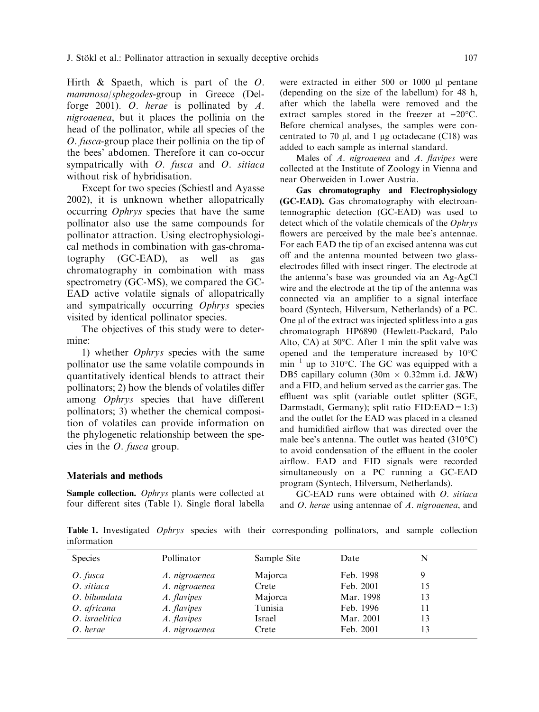Hirth & Spaeth, which is part of the O. mammosa/sphegodes-group in Greece (Delforge 2001). O. herae is pollinated by A. nigroaenea, but it places the pollinia on the head of the pollinator, while all species of the O. fusca-group place their pollinia on the tip of the bees' abdomen. Therefore it can co-occur sympatrically with  $O$ . fusca and  $O$ . sitiaca without risk of hybridisation.

Except for two species (Schiestl and Ayasse 2002), it is unknown whether allopatrically occurring Ophrys species that have the same pollinator also use the same compounds for pollinator attraction. Using electrophysiological methods in combination with gas-chromatography (GC-EAD), as well as gas chromatography in combination with mass spectrometry (GC-MS), we compared the GC-EAD active volatile signals of allopatrically and sympatrically occurring Ophrys species visited by identical pollinator species.

The objectives of this study were to determine:

1) whether Ophrys species with the same pollinator use the same volatile compounds in quantitatively identical blends to attract their pollinators; 2) how the blends of volatiles differ among Ophrys species that have different pollinators; 3) whether the chemical composition of volatiles can provide information on the phylogenetic relationship between the species in the O. fusca group.

#### Materials and methods

Sample collection. Ophrys plants were collected at four different sites (Table 1). Single floral labella were extracted in either  $500$  or  $1000$   $\mu$ l pentane (depending on the size of the labellum) for 48 h, after which the labella were removed and the extract samples stored in the freezer at  $-20^{\circ}$ C. Before chemical analyses, the samples were concentrated to 70  $\mu$ l, and 1  $\mu$ g octadecane (C18) was added to each sample as internal standard.

Males of A. nigroaenea and A. flavipes were collected at the Institute of Zoology in Vienna and near Oberweiden in Lower Austria.

Gas chromatography and Electrophysiology (GC-EAD). Gas chromatography with electroantennographic detection (GC-EAD) was used to detect which of the volatile chemicals of the Ophrys flowers are perceived by the male bee's antennae. For each EAD the tip of an excised antenna was cut off and the antenna mounted between two glasselectrodes filled with insect ringer. The electrode at the antenna's base was grounded via an Ag-AgCl wire and the electrode at the tip of the antenna was connected via an amplifier to a signal interface board (Syntech, Hilversum, Netherlands) of a PC. One µl of the extract was injected splitless into a gas chromatograph HP6890 (Hewlett-Packard, Palo Alto, CA) at  $50^{\circ}$ C. After 1 min the split valve was opened and the temperature increased by  $10^{\circ}$ C  $\min^{-1}$  up to 310°C. The GC was equipped with a DB5 capillary column  $(30m \times 0.32mm)$  i.d. J&W) and a FID, and helium served as the carrier gas. The effluent was split (variable outlet splitter (SGE, Darmstadt, Germany); split ratio FID:EAD=1:3) and the outlet for the EAD was placed in a cleaned and humidified airflow that was directed over the male bee's antenna. The outlet was heated  $(310^{\circ}C)$ to avoid condensation of the effluent in the cooler airflow. EAD and FID signals were recorded simultaneously on a PC running a GC-EAD program (Syntech, Hilversum, Netherlands).

GC-EAD runs were obtained with O. sitiaca and O. herae using antennae of A. nigroaenea, and

Table 1. Investigated *Ophrys* species with their corresponding pollinators, and sample collection information

| <b>Species</b> | Pollinator    | Sample Site | Date      |    |
|----------------|---------------|-------------|-----------|----|
| O. fusca       | A. nigroaenea | Majorca     | Feb. 1998 |    |
| O. sitiaca     | A. nigroaenea | Crete       | Feb. 2001 | 15 |
| O. bilunulata  | A. flavipes   | Majorca     | Mar. 1998 | 13 |
| O. africana    | A. flavipes   | Tunisia     | Feb. 1996 |    |
| O. israelitica | A. flavipes   | Israel      | Mar. 2001 | 13 |
| O. herae       | A. nigroaenea | Crete       | Feb. 2001 |    |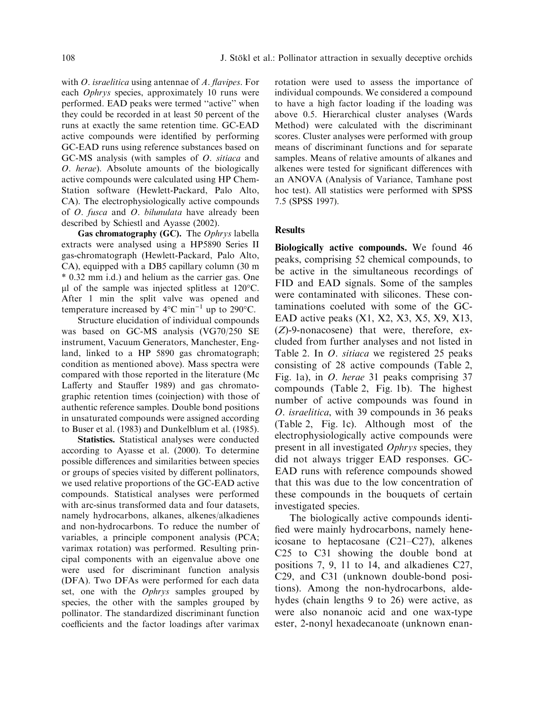with *O. israelitica* using antennae of *A. flavipes*. For each Ophrys species, approximately 10 runs were performed. EAD peaks were termed ''active'' when they could be recorded in at least 50 percent of the runs at exactly the same retention time. GC-EAD active compounds were identified by performing GC-EAD runs using reference substances based on GC-MS analysis (with samples of O. sitiaca and O. herae). Absolute amounts of the biologically active compounds were calculated using HP Chem-Station software (Hewlett-Packard, Palo Alto, CA). The electrophysiologically active compounds of O. fusca and O. bilunulata have already been described by Schiestl and Ayasse (2002).

Gas chromatography (GC). The Ophrys labella extracts were analysed using a HP5890 Series II gas-chromatograph (Hewlett-Packard, Palo Alto, CA), equipped with a DB5 capillary column (30 m \* 0.32 mm i.d.) and helium as the carrier gas. One  $\mu$ l of the sample was injected splitless at 120 °C. After 1 min the split valve was opened and temperature increased by  $4^{\circ}$ C min<sup>-1</sup> up to 290 $^{\circ}$ C.

Structure elucidation of individual compounds was based on GC-MS analysis (VG70/250 SE instrument, Vacuum Generators, Manchester, England, linked to a HP 5890 gas chromatograph; condition as mentioned above). Mass spectra were compared with those reported in the literature (Mc Lafferty and Stauffer 1989) and gas chromatographic retention times (coinjection) with those of authentic reference samples. Double bond positions in unsaturated compounds were assigned according to Buser et al. (1983) and Dunkelblum et al. (1985).

Statistics. Statistical analyses were conducted according to Ayasse et al. (2000). To determine possible differences and similarities between species or groups of species visited by different pollinators, we used relative proportions of the GC-EAD active compounds. Statistical analyses were performed with arc-sinus transformed data and four datasets, namely hydrocarbons, alkanes, alkenes/alkadienes and non-hydrocarbons. To reduce the number of variables, a principle component analysis (PCA; varimax rotation) was performed. Resulting principal components with an eigenvalue above one were used for discriminant function analysis (DFA). Two DFAs were performed for each data set, one with the *Ophrys* samples grouped by species, the other with the samples grouped by pollinator. The standardized discriminant function coefficients and the factor loadings after varimax rotation were used to assess the importance of individual compounds. We considered a compound to have a high factor loading if the loading was above 0.5. Hierarchical cluster analyses (Wards Method) were calculated with the discriminant scores. Cluster analyses were performed with group means of discriminant functions and for separate samples. Means of relative amounts of alkanes and alkenes were tested for significant differences with an ANOVA (Analysis of Variance, Tamhane post hoc test). All statistics were performed with SPSS 7.5 (SPSS 1997).

#### **Results**

Biologically active compounds. We found 46 peaks, comprising 52 chemical compounds, to be active in the simultaneous recordings of FID and EAD signals. Some of the samples were contaminated with silicones. These contaminations coeluted with some of the GC-EAD active peaks (X1, X2, X3, X5, X9, X13, (Z)-9-nonacosene) that were, therefore, excluded from further analyses and not listed in Table 2. In O. sitiaca we registered 25 peaks consisting of 28 active compounds (Table 2, Fig. 1a), in O. herae 31 peaks comprising 37 compounds (Table 2, Fig. 1b). The highest number of active compounds was found in O. israelitica, with 39 compounds in 36 peaks (Table 2, Fig. 1c). Although most of the electrophysiologically active compounds were present in all investigated *Ophrys* species, they did not always trigger EAD responses. GC-EAD runs with reference compounds showed that this was due to the low concentration of these compounds in the bouquets of certain investigated species.

The biologically active compounds identified were mainly hydrocarbons, namely heneicosane to heptacosane (C21–C27), alkenes C25 to C31 showing the double bond at positions 7, 9, 11 to 14, and alkadienes C27, C29, and C31 (unknown double-bond positions). Among the non-hydrocarbons, aldehydes (chain lengths 9 to 26) were active, as were also nonanoic acid and one wax-type ester, 2-nonyl hexadecanoate (unknown enan-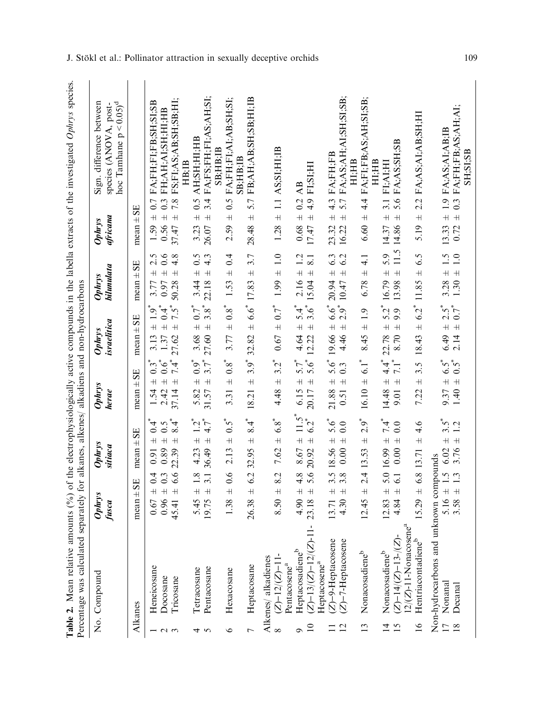|                 | Percentage was calculated separately for alkanes, alkenes/ alkadiens and non-hydrocarbons |                                          |                                                                               |                                                 |                                                            |                                             |                                                          | Table 2. Mean relative amounts (%) of the electrophysiologically active compounds in the labella extracts of the investigated Ophrys species |
|-----------------|-------------------------------------------------------------------------------------------|------------------------------------------|-------------------------------------------------------------------------------|-------------------------------------------------|------------------------------------------------------------|---------------------------------------------|----------------------------------------------------------|----------------------------------------------------------------------------------------------------------------------------------------------|
|                 | No. Compound                                                                              | Ophrys<br>fusca                          | Ophrys<br>sitiaca                                                             | Ophrys<br>herae                                 | israelitica<br>Ophrys                                      | bilunulata<br>Ophrys                        | africana<br>Ophrys                                       | Sign. difference between<br>hoc Tamhane $p < 0.05$ <sup>d</sup><br>species (ANOVA, post-                                                     |
|                 | <b>Alkanes</b>                                                                            | $mean \pm SE$                            | SE<br>$mean \pm$                                                              | SE<br>$\ddot{+}$<br>mean                        | $\pm$ SE<br>mean                                           | SE<br>$\overline{+}$<br>mean                | SE<br>$mean \pm$                                         |                                                                                                                                              |
|                 | Heneicosane                                                                               | 0.4<br>$\overline{+}$<br>0.67            | $0.4$ <sup>*</sup><br>$\overline{+}$<br>0.91                                  | $0.3^{*}$<br>$\overline{+}$<br>1.54             | $1.9^*$<br>$\overline{+}$<br>3.13                          | 2.5<br>$\overline{+}$<br>3.77               | $\overline{+}$<br>1.59                                   | FA:FH:FI:FB:SH:SI:SB                                                                                                                         |
| $\sim$          | Docosane                                                                                  | 0.3<br>$0.96 \pm$                        | 0.5<br>$\overline{+}$<br>0.89                                                 | $0.6^*$<br>$\overline{+}$<br>2.42               | $0.4$ <sup>*</sup><br>$\overline{+}$<br>1.37               | 0.6<br>$\overline{+}$<br>0.97               | $0.\overline{3}$<br>$\overline{+}$<br>0.56               | FH:AH:AI:SH:HI:HB                                                                                                                            |
| $\mathfrak{g}$  | Tricosane                                                                                 | 6.6<br>$45.41 \pm$                       | $8.4$ <sup>*</sup><br>$\overline{+}$<br>22.39                                 | 7.4<br>$\overline{+}$<br>37.14                  | $7.5*$<br>$\overline{+}$<br>27.62                          | 4.8<br>$\overline{+}$<br>50.28              | 7.8<br>$\overline{+}$<br>37.47                           | FS;FI;AS;AB;SH;SB;HI;<br>HB:IB                                                                                                               |
| 4               | Tetracosane                                                                               | $1.8\,$<br>$+$<br>5.45                   | $1.2^{*}$<br>$\overline{+}$<br>4.23                                           | $0.9$ <sup>*</sup><br>$\overline{+}$<br>5.82    | $0.7$ <sup>*</sup><br>$\overline{+}$<br>3.68               | $\overline{+}$<br>3.4                       | 0.5<br>$\overline{+}$<br>3.23                            | AH;SH;HI;HB                                                                                                                                  |
| $\sim$          | Pentacosane                                                                               | $19.75 +$                                | 4.7<br>$\overline{+}$<br>3.1 36.49                                            | $3.7$ <sup>*</sup><br>$\overline{+}$<br>31.57   | $3.8$ <sup>*</sup><br>$27.60 \pm$                          | $0.\overline{3}$<br>$\overline{+}$<br>22.18 | 3.4<br>$\overline{+}$<br>26.07                           | FA:FS:FH:FI:AS;AH:SI;                                                                                                                        |
| $\circ$         | Hexacosane                                                                                | $\ddot{0}$ .<br>$\overline{+}$<br>1.38   | $0.5^*$<br>$\overline{+}$<br>2.13                                             | $0.8^{*}$<br>$\overline{+}$<br>3.31             | $0.8^*$<br>$\overline{+}$<br>3.77                          | 0.4<br>$\overline{+}$<br>1.53               | $\widetilde{0}$ .5<br>$\overline{+}$<br>2.59             | FA:FH:FI:AI:AB;SH:SI;<br>SB:HB:IB<br>SB:HB:IB                                                                                                |
| Γ               | Heptacosane                                                                               | 6.2<br>$\overline{+}$<br>26.38           | $8.4*$<br>$\overline{+}$<br>32.95                                             | $3.9^{*}$<br>$\overline{+}$<br>18.21            | $32.82 \pm 6.6$ 17.83                                      | 3.7<br>$\overline{+}$                       | 5.7<br>$\overline{+}$<br>28.48                           | FB;AH;AB;SH;SB;HI;IB                                                                                                                         |
| $\infty$        | $(Z)-12/(Z)-11$<br>Alkenes/ alkadienes                                                    | 8.2<br>$\overline{+}$<br>8.50            | $6.8^*$<br>$\overline{+}$<br>7.62                                             | $3.2$ <sup>*</sup><br>$\overline{+}$<br>4.48    | $0.7$ <sup>*</sup><br>$\overline{+}$<br>0.67               | 1.0<br>$\overline{+}$<br>1.99               | $\equiv$<br>$\overline{+}$<br>1.28                       | AS:SI:HI:IB                                                                                                                                  |
| Ó               | Heptacosadieneb<br>Pentacosene <sup>a</sup>                                               | 4.8<br>$\overline{+}$<br>4.90            | $11.5*$<br>$\overline{+}$<br>8.67                                             | $5.7$ <sup>*</sup><br>$\overline{+}$<br>6.15    | $5.4*$<br>$\overline{+}$<br>4.64                           | 1.2<br>$\overline{+}$<br>2.16               | 0.2<br>$\overline{+}$<br>0.68                            | $\overrightarrow{AB}$                                                                                                                        |
| $\approx$       | $(Z)-13/(Z)-12/(Z)-11-$<br>Heptacosene <sup>a</sup>                                       | 5.6<br>$\overline{+}$<br>23.18           | $6.2$ <sup>*</sup><br>$\overline{+}$<br>20.92                                 | $5.6*$<br>$\overline{+}$<br>20.17               | $3.6*$<br>$\overline{+}$<br>12.22                          | 8.1<br>$\overline{+}$<br>15.04              | $\frac{4}{9}$<br>$\overline{+}$<br>17.47                 | FI:SI:HI                                                                                                                                     |
|                 | $(Z)-9$ -Heptacosene                                                                      | $+$<br>13.71                             | $5.6*$<br>$\overline{+}$<br>3.5 18.56                                         | $5.6*$<br>$\overline{+}$<br>21.88               | $6.6$ <sup>*</sup><br>$\overline{+}$<br>19.66              | 6.3<br>$\overline{+}$<br>20.94              | $4.\overline{3}$<br>$\overline{+}$<br>23.32              | FA;FH;FB                                                                                                                                     |
| 12              | $(Z)$ -7-Heptacosene                                                                      | 3.8<br>$\overline{+}$<br>4.30            | 0.0<br>$\overline{+}$<br>0.00                                                 | $0.\overline{3}$<br>$\overline{+}$<br>0.51      | $2.9$ <sup>*</sup><br>$\overline{+}$<br>4.46               | 6.2<br>$\overline{+}$<br>10.47              | 5.7<br>$\overline{+}$<br>16.22                           | FA:AS:AH:AI:SH:SI:SB;                                                                                                                        |
| 13              | Nonacosadieneb                                                                            | $\frac{4}{2}$<br>$\overline{+}$<br>12.45 | $2.9^*$<br>$\overline{+}$<br>13.53                                            | $6.1$ <sup>*</sup><br>$+$<br>16.10              | 1.9<br>$\overline{+}$<br>8.45                              | $\frac{1}{4}$<br>$\overline{+}$<br>6.78     | $4\cdot$<br>$\overline{+}$<br>6.60                       | FA:FI:FB:AS:AH:SI:SB.<br>H.HB<br>HI:HB                                                                                                       |
| $\overline{4}$  | Nonacosadiene <sup>b</sup>                                                                | $\overline{+}$<br>12.83                  | $7.4*$<br>$\overline{+}$<br>5.0 16.99                                         | 4.4<br>$\overline{+}$<br>14.48                  | 5.2*<br>$\overline{+}$<br>22.78                            | 5.9<br>$\overline{+}$<br>16.79              | 3.1<br>$\overline{+}$<br>14.37                           | FI;AI;HI                                                                                                                                     |
| $\overline{15}$ | $(Z)-14/(Z)-13-(Z)$                                                                       | 6.1<br>$\overline{+}$<br>4.84            | 0.0<br>$\overline{+}$<br>0.00                                                 | $7.1^*$<br>$\overline{+}$<br>9.01               | 9.9<br>$\overline{+}$<br>8.70                              | 11.5<br>$\overline{+}$<br>13.98             | 5.6<br>$\overline{+}$<br>14.86                           | FA:AS:SH:SB                                                                                                                                  |
| $\frac{6}{1}$   | $12/(Z)$ -11-Nonacosene <sup>a</sup><br>$H$ entriacontadiene $b$                          | $15.29 \pm$                              | $\frac{4}{6}$<br>$\overline{+}$<br>6.8 13.71                                  | 3.5<br>$\overline{+}$<br>7.22                   | $6.2*$<br>$\overline{+}$<br>18.43                          | 6.5<br>$\overline{+}$<br>11.85              | 2.2<br>$\overline{+}$<br>5.19                            | FA;AS;AI;AB;SH;HI                                                                                                                            |
| $\overline{17}$ | Non-hydrocarbons and unknown compounds<br>Nonanal<br>Decanal                              | $5.16 \pm 1.5$<br>$3.58 \pm 1.3$         | $3.\overline{5}^*$<br>1.2<br>$\overline{+}$<br>$\overline{+}$<br>3.76<br>6.02 | $+ 6.5$ <sup>*</sup><br>+ 1.5<br>$9.37$<br>1.40 | $+ 2.5$ <sup>*</sup><br>+ 0.7 <sup>*</sup><br>2.14<br>6.49 | $3.28 \pm 1.5$<br>1.30 $\pm$ 1.0            | 0.3<br>$\overline{+}$<br>$\overline{+}$<br>0.72<br>13.33 | FA;FH;FB;AS;AH;AI;<br>$1.9$ $FA:AS:AI:AB:IB$<br><b>SH:SI:SB</b>                                                                              |

J. Stökl et al.: Pollinator attraction in sexually deceptive orchids 109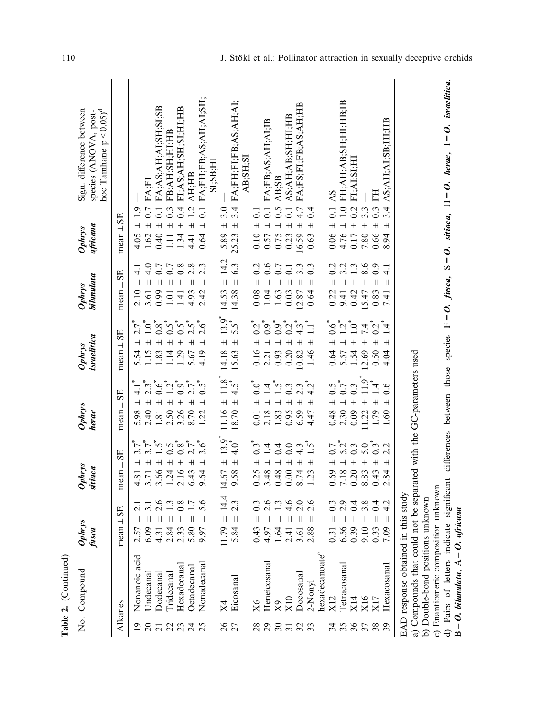|                                               | Table 2. (Continued)                                                    |                                                               |                                                                |                                                                                   |                                                                       |                                            |                                                                           |                                                                                                               |
|-----------------------------------------------|-------------------------------------------------------------------------|---------------------------------------------------------------|----------------------------------------------------------------|-----------------------------------------------------------------------------------|-----------------------------------------------------------------------|--------------------------------------------|---------------------------------------------------------------------------|---------------------------------------------------------------------------------------------------------------|
|                                               | No. Compound                                                            | Ophrys<br>fusca                                               | Ophrys<br>sitiaca                                              | Ophrys<br>here                                                                    | israelitica<br>Ophrys                                                 | bilunulata<br>Ophrys                       | africana<br>Ophrys                                                        | Sign. difference between<br>hoc Tamhane $p < 0.05$ <sup>d</sup><br>species (ANOVA, post-                      |
|                                               | Alkanes                                                                 | $mean \pm SE$                                                 | $can \pm SE$<br>日                                              | $mean + SE$                                                                       | SE<br>$mean \pm$                                                      | $mean \pm SE$                              | $mean \pm SE$                                                             |                                                                                                               |
|                                               | Nonanoic acid                                                           | $\!$ $\!$ $\!$<br>2.57                                        | 3.7<br>$\overline{+}$<br>$\overline{8}$ .                      | $\frac{1}{4}$<br>$\overline{+}$<br>5.98                                           | $\tilde{z}$<br>$\overline{+}$<br>5.54                                 | $\frac{1}{4}$<br>$+$<br>2.10               | $\overline{+}$<br>4.05                                                    |                                                                                                               |
|                                               | Undecana                                                                | $+$<br>6.09                                                   | $3.7$ <sup>*</sup><br>$\overline{+}$<br>$\overline{.71}$       | $2.\overline{3}^*$<br>$\overline{+}$<br>2.40                                      | $1.0^\ast$<br>$\overline{+}$<br>1.15                                  | $\frac{1}{4}$<br>$\overline{+}$<br>3.61    | 0.7<br>$\overline{+}$<br>1.62                                             | FA;FI                                                                                                         |
|                                               | Dodecanal                                                               | 2.6<br>$\overline{+}$<br>4.31                                 | $\overline{+}$<br>.66                                          | $0.6$ <sup>*</sup><br>$\overline{+}$<br>$1.81\,$                                  | $0.8^{*}$<br>$+$<br>1.83                                              | 0.7<br>$\overline{+}$<br>0.99              | $\overline{0}$ .<br>$\overline{+}$<br>0.40                                | FA;AS;AH;AI;SH;SI;SB                                                                                          |
|                                               | Tridecanal                                                              | $\pm$                                                         | $\frac{1}{1}5$ *<br>$\overline{+}$<br>$\ddot{c}$               | $1.2*$<br>$\overline{+}$<br>2.50                                                  | $0.5^*$<br>$\overline{+}$<br>1.14                                     | 0.7<br>$\overline{+}$<br>$1.01\,$          | $0.\overline{3}$<br>$\overline{+}$<br>$\begin{array}{c} 1.11 \end{array}$ | FB;AH;SH;HI;HB                                                                                                |
|                                               | Hexadecanal                                                             | $\pm$<br>$2.\overline{3}3.\overline{3}0$<br>$0.\overline{3}0$ | $0.8^{*}$<br>$\overline{+}$<br>0.16                            | $\stackrel{*}{\circ}$<br>$\overline{+}$<br>3.26                                   | $0.5^{*}$<br>2.5<br>$\!$ $\!$ $\!$<br>1.29                            | 0.8<br>$^+$<br>1.41                        | 0.4<br>$\overline{+}$<br>1.34                                             | FI;AS;AH;SH;SI;HI;HB                                                                                          |
|                                               | Octadecanal                                                             | $\overline{+}$                                                | $2.7$ <sup>*</sup><br>$\overline{+}$<br>$\ddot{4}$             | $2.7*$<br>$\overline{+}$<br>8.70                                                  | $\overline{+}$<br>5.67                                                | 2.8<br>4.93                                | 1.2<br>$\overline{+}$<br>4.41                                             | <b>AH:HB</b>                                                                                                  |
|                                               | Nonadecanal                                                             | 5.6<br>$\overline{+}$<br>9.97                                 | $3.6*$<br>$\overline{+}$<br>$\ddot{2}$                         | $0.5^{*}$<br>$\overline{+}$<br>1.22                                               | 2.6<br>$\overline{+}$<br>4.19                                         | 2.3<br>$\overline{+}$<br>2.42              | $\overline{0}$ .<br>$\overline{+}$<br>0.64                                | FA:FH:FB;AS;AH;AI;SH;<br>$SI$ ; $SB$ ; $H$ ]                                                                  |
|                                               | X <sub>4</sub>                                                          | 14.4<br>$\overline{+}$<br>11.79                               | $13.9^{*}$<br>$\overline{+}$<br>1.67<br>$\vec{a}$              | $\pm$ 11.8 <sup>*</sup><br>11.16                                                  | $13.9*$<br>$\overline{+}$<br>14.18                                    | $\pm$ 14.2<br>14.53                        | 3.0<br>$\overline{+}$<br>5.89                                             |                                                                                                               |
| 26                                            | Eicosanal                                                               | 2.3<br>$5.84 \pm$                                             | $4.0$ <sup>*</sup><br>$\overline{+}$<br>.58<br>$\circ$         | 4.5<br>$\overline{+}$<br>18.70                                                    | 5.5*<br>$+$<br>15.63                                                  | 6.3<br>$\overline{+}$<br>14.38             | 3.4<br>$\overline{+}$<br>25.23                                            | FA;FH;FI;FB;AS;AH;AI;<br>AB;SH;SI                                                                             |
| 28                                            | X6                                                                      | $\overline{+}$<br>0.43                                        | $\overline{0}$<br>$\overline{+}$<br>$\dot{5}$                  | $\rm\stackrel{>}{\circ}$<br>$\overline{+}$<br>$0.01$                              | $\overline{+}$<br>0.16                                                | 0.2<br>$\overline{+}$<br>0.08              | $\overline{0}$ :<br>$\overline{+}$<br>0.10                                |                                                                                                               |
|                                               | Heneicosanal                                                            | 2.6<br>$\overline{+}$<br>4.97                                 | $\overline{4}$<br>$\overline{+}$<br>$\frac{48}{5}$             | 1.4<br>$\overline{+}$<br>2.18                                                     | $\overline{a}$<br>2.21                                                | 0.6<br>$\overline{+}$<br>1.04              | $\overline{0}$ .<br>$\overline{+}$<br>0.57                                | FA;FB;AS;AH;AI;IB                                                                                             |
| $\begin{array}{c} 29 \\ 30 \\ 21 \end{array}$ | $_{\rm X}$                                                              | $\overline{+}$<br>1.64                                        | 0.4<br>$\!$ $\!$ $\!$ $\!$<br>$\frac{48}{5}$                   | $\overline{+}$<br>1.83                                                            | $\!$ $\!$ $\!$<br>0.93                                                | 0.7<br>1.63                                | $\widetilde{0}$ .5<br>$\overline{+}$<br>0.75                              | AB;SB                                                                                                         |
|                                               | X10                                                                     | 4.6<br>$\overline{+}$<br>2.41                                 | $0.0\,$<br>$\overline{+}$<br>00.                               | $\overline{+}$<br>0.95                                                            | $+$<br>0.20                                                           | $\overline{0}$ .<br>$\overline{+}$<br>0.03 | $\overline{0}$ .<br>$\overline{+}$<br>0.23                                | AS;AH;AB;SH;HI;HB                                                                                             |
| 33                                            | Docosanal                                                               | $\overline{+}$                                                | $\overline{+}$<br>$\ddot{z}$                                   | $\begin{array}{c} 1.5 \\ 1.3 \\ 0.3 \\ 4.1 \end{array}$<br>$\overline{+}$<br>6.59 | "מ "ס "ס "מ "ק<br>"ס ס ס ס <del>ע</del> "ד<br>$\overline{+}$<br>10.82 | 3.3<br>$\overline{+}$<br>12.87             | 4.7<br>$\overline{+}$<br>16.59                                            | FA:FS:FI:FB:AS:AH:HB                                                                                          |
|                                               | 2-Nonyl                                                                 | 2.6<br>$^+$<br>$3.61$<br>$2.88$                               | $4.3$<br>1.5<br>$+$<br>23                                      | $\overline{+}$<br>4.47                                                            | $\overline{+}$<br>1.46                                                | $0.\overline{3}$<br>$+$<br>0.64            | 0.4<br>$\overline{+}$<br>0.63                                             |                                                                                                               |
|                                               | hexadecanoate                                                           |                                                               |                                                                |                                                                                   |                                                                       |                                            |                                                                           |                                                                                                               |
| 34                                            | X12                                                                     | $0.\overline{3}$<br>$\overline{+}$<br>0.31                    | 0.7<br>$\overline{+}$<br>.69                                   | 0.5<br>$\overline{+}$<br>0.48                                                     | 6.6<br>$\overline{+}$<br>0.64                                         | 0.2<br>$\overline{+}$<br>0.22              | $\overline{0}$ .<br>$\overline{+}$<br>0.06                                | AS                                                                                                            |
|                                               | Tetracosanal                                                            | 2.9<br>$\overline{+}$<br>6.56                                 | $\overline{+}$<br>$\overline{.18}$                             | $+ 0.7$<br>2.30                                                                   | $\sum_{1}^{*} 0$<br>$\overline{+}$<br>5.57                            | 3.2<br>$+$<br>9.41                         | 1.0<br>$\overline{+}$<br>4.76                                             | FH;AH;AB;SH;HI;HB;IB                                                                                          |
| 36                                            | X14                                                                     | 0.4<br>$\overline{+}$<br>0.39                                 | $5.\overline{2}^*$<br>0.3<br>$\overline{+}$<br>$\overline{20}$ | $0.\overline{3}$<br>$\overline{+}$<br>0.09                                        | $\overline{+}$<br>1.54                                                | 1.3<br>$\overline{+}$<br>0.42              | 0.2<br>$\overline{+}$<br>$0.17\,$                                         | FI;AI;SI;H                                                                                                    |
| 57                                            | X16                                                                     | 3.8<br>$\overline{+}$<br>9.10                                 | 5.0<br>$\overline{+}$<br>.83                                   | 11.9<br>$\overline{+}$<br>11.22                                                   | 7.4<br>$\overline{+}$<br>12.69                                        | 8.6<br>$+$<br>15.47                        | $3.\overline{3}$<br>$\overline{+}$<br>7.80                                |                                                                                                               |
| 38                                            | X <sub>17</sub>                                                         | $\overline{+}$<br>0.33                                        | $0.\overline{3}^{*}$<br>2.2<br>$\overline{+}$<br>43            | $1.4$ <sup>*</sup><br>$\overline{+}$<br>1.79                                      | $0.2^{*}$<br>$\overline{+}$<br>0.50                                   | 0.9<br>$+$<br>0.83                         | 0.3<br>$\overline{+}$<br>0.66                                             | H                                                                                                             |
|                                               | Hexacosanal                                                             | $0.4$<br>$4.0$<br>$^+$                                        | $\overline{+}$<br>$\overline{84}$                              | 0.6<br>$\overline{+}$<br>1.60                                                     | $\ddot{1}$<br>$^+$<br>4.04                                            | $\overline{4.1}$<br>$+$<br>7.41            | 3.4<br>$\overline{+}$<br>8.94                                             | AS;AH;AI;SB;HI;HB                                                                                             |
|                                               | EAD response obtained in this study                                     |                                                               |                                                                |                                                                                   |                                                                       |                                            |                                                                           |                                                                                                               |
|                                               | a) Compounds that could not be separated with the GC-parameters used    |                                                               |                                                                |                                                                                   |                                                                       |                                            |                                                                           |                                                                                                               |
|                                               | c) Enantiomeric composition unknown<br>b) Double-bond positions unknown |                                                               |                                                                |                                                                                   |                                                                       |                                            |                                                                           |                                                                                                               |
|                                               | d) Pairs of letters indicate significant                                |                                                               |                                                                |                                                                                   |                                                                       |                                            |                                                                           | differences between those species $F = 0$ . fusca, $S = 0$ . sitiaca, $H = 0$ . herae, $I = 0$ . israelitica, |
|                                               |                                                                         |                                                               |                                                                |                                                                                   |                                                                       |                                            |                                                                           |                                                                                                               |

 $\mathbf{p}$ 

 $=O.$  bilunulata,  $\forall$ 

=O. africana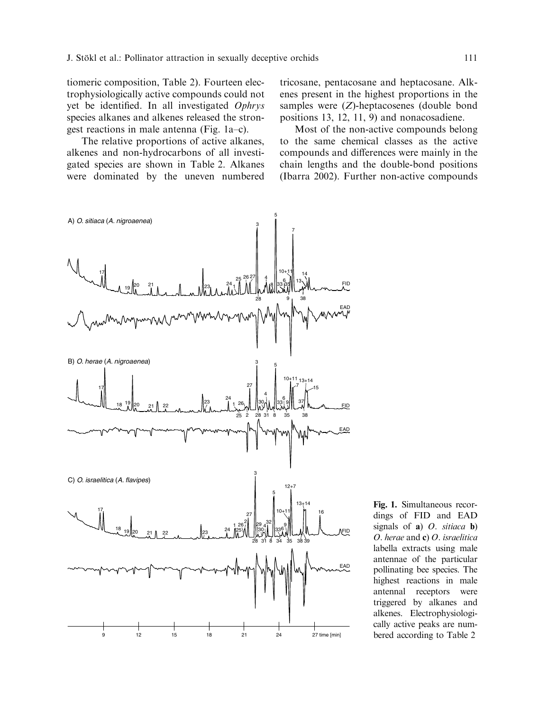tiomeric composition, Table 2). Fourteen electrophysiologically active compounds could not yet be identified. In all investigated Ophrys species alkanes and alkenes released the strongest reactions in male antenna (Fig. 1a–c).

The relative proportions of active alkanes, alkenes and non-hydrocarbons of all investigated species are shown in Table 2. Alkanes were dominated by the uneven numbered tricosane, pentacosane and heptacosane. Alkenes present in the highest proportions in the samples were (Z)-heptacosenes (double bond positions 13, 12, 11, 9) and nonacosadiene.

Most of the non-active compounds belong to the same chemical classes as the active compounds and differences were mainly in the chain lengths and the double-bond positions (Ibarra 2002). Further non-active compounds



Fig. 1. Simultaneous recordings of FID and EAD signals of  $a$ )  $O$ . sitiaca  $b$ ) O. herae and c) O. israelitica labella extracts using male antennae of the particular pollinating bee species. The highest reactions in male antennal receptors were triggered by alkanes and alkenes. Electrophysiologically active peaks are numbered according to Table 2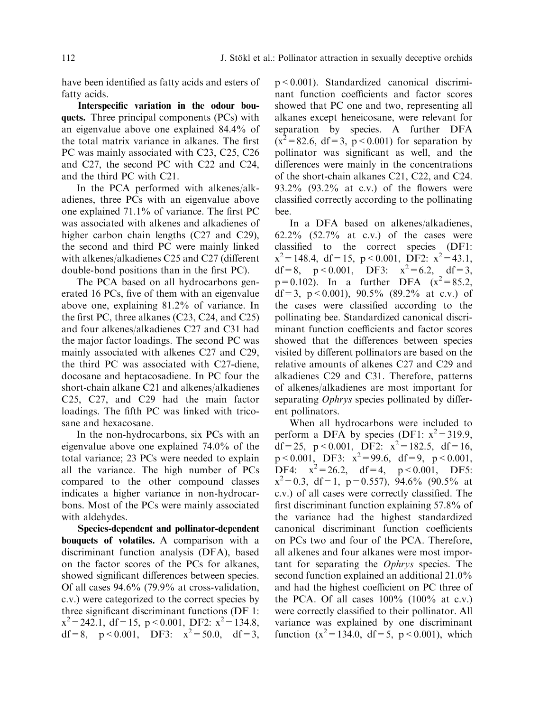have been identified as fatty acids and esters of fatty acids.

Interspecific variation in the odour bouquets. Three principal components (PCs) with an eigenvalue above one explained 84.4% of the total matrix variance in alkanes. The first PC was mainly associated with C23, C25, C26 and C27, the second PC with C22 and C24, and the third PC with C21.

In the PCA performed with alkenes/alkadienes, three PCs with an eigenvalue above one explained 71.1% of variance. The first PC was associated with alkenes and alkadienes of higher carbon chain lengths (C27 and C29), the second and third PC were mainly linked with alkenes/alkadienes C25 and C27 (different double-bond positions than in the first PC).

The PCA based on all hydrocarbons generated 16 PCs, five of them with an eigenvalue above one, explaining 81.2% of variance. In the first PC, three alkanes (C23, C24, and C25) and four alkenes/alkadienes C27 and C31 had the major factor loadings. The second PC was mainly associated with alkenes C27 and C29, the third PC was associated with C27-diene, docosane and heptacosadiene. In PC four the short-chain alkane C21 and alkenes/alkadienes C25, C27, and C29 had the main factor loadings. The fifth PC was linked with tricosane and hexacosane.

In the non-hydrocarbons, six PCs with an eigenvalue above one explained 74.0% of the total variance; 23 PCs were needed to explain all the variance. The high number of PCs compared to the other compound classes indicates a higher variance in non-hydrocarbons. Most of the PCs were mainly associated with aldehydes.

Species-dependent and pollinator-dependent bouquets of volatiles. A comparison with a discriminant function analysis (DFA), based on the factor scores of the PCs for alkanes, showed significant differences between species. Of all cases 94.6% (79.9% at cross-validation, c.v.) were categorized to the correct species by three significant discriminant functions (DF 1:  $x^2 = 242.1$ , df = 15, p < 0.001, DF2:  $x^2 = 134.8$ , df = 8,  $p < 0.001$ , DF3:  $x^2 = 50.0$ , df = 3,

p<0.001). Standardized canonical discriminant function coefficients and factor scores showed that PC one and two, representing all alkanes except heneicosane, were relevant for separation by species. A further DFA  $(x^2 = 82.6, df = 3, p < 0.001)$  for separation by pollinator was significant as well, and the differences were mainly in the concentrations of the short-chain alkanes C21, C22, and C24. 93.2% (93.2% at c.v.) of the flowers were classified correctly according to the pollinating bee.

In a DFA based on alkenes/alkadienes, 62.2% (52.7% at c.v.) of the cases were classified to the correct species (DF1:  $x^2 = 148.4$ , df = 15, p < 0.001, DF2:  $x^2 = 43.1$ , df = 8,  $p < 0.001$ , DF3:  $x^2 = 6.2$ , df = 3,  $p=0.102$ ). In a further DFA  $(x^2=85.2)$ , df = 3, p < 0.001), 90.5% (89.2% at c.v.) of the cases were classified according to the pollinating bee. Standardized canonical discriminant function coefficients and factor scores showed that the differences between species visited by different pollinators are based on the relative amounts of alkenes C27 and C29 and alkadienes C29 and C31. Therefore, patterns of alkenes/alkadienes are most important for separating Ophrys species pollinated by different pollinators.

When all hydrocarbons were included to perform a DFA by species (DF1:  $x^2 = 319.9$ , df = 25, p < 0.001, DF2:  $x^2 = 182.5$ , df = 16,  $p < 0.001$ , DF3:  $x^2 = 99.6$ , df=9,  $p < 0.001$ , DF4:  $x^2 = 26.2$ , df = 4, p < 0.001, DF5:  $x^2 = 0.3$ , df = 1, p = 0.557), 94.6% (90.5% at c.v.) of all cases were correctly classified. The first discriminant function explaining 57.8% of the variance had the highest standardized canonical discriminant function coefficients on PCs two and four of the PCA. Therefore, all alkenes and four alkanes were most important for separating the Ophrys species. The second function explained an additional 21.0% and had the highest coefficient on PC three of the PCA. Of all cases  $100\%$  (100% at c.v.) were correctly classified to their pollinator. All variance was explained by one discriminant function  $(x^2 = 134.0, df = 5, p < 0.001)$ , which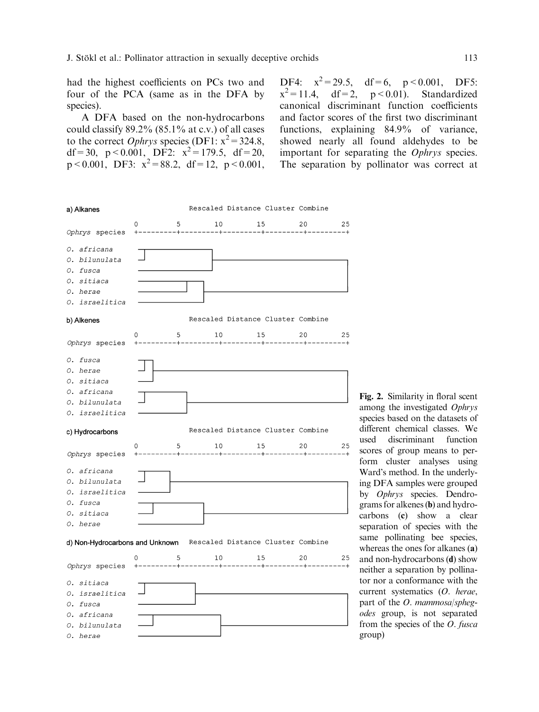had the highest coefficients on PCs two and four of the PCA (same as in the DFA by species).

A DFA based on the non-hydrocarbons could classify  $89.2\%$   $(85.1\% \text{ at c.v.})$  of all cases to the correct *Ophrys* species (DF1:  $x^2 = 324.8$ , df = 30, p < 0.001, DF2:  $x^2 = 179.5$ , df = 20,  $p < 0.001$ , DF3:  $x^2 = 88.2$ , df = 12,  $p < 0.001$ ,

DF4:  $x^2 = 29.5$ , df = 6, p < 0.001, DF5:  $x^2 = 11.4$ , df = 2, p < 0.01). Standardized canonical discriminant function coefficients and factor scores of the first two discriminant functions, explaining 84.9% of variance, showed nearly all found aldehydes to be important for separating the Ophrys species. The separation by pollinator was correct at



Fig. 2. Similarity in floral scent among the investigated Ophrys species based on the datasets of different chemical classes. We used discriminant function scores of group means to perform cluster analyses using Ward's method. In the underlying DFA samples were grouped by Ophrys species. Dendrograms for alkenes (b) and hydrocarbons (c) show a clear separation of species with the same pollinating bee species, whereas the ones for alkanes (a) and non-hydrocarbons (d) show neither a separation by pollinator nor a conformance with the current systematics (O. herae, part of the O. mammosa/sphegodes group, is not separated from the species of the O. fusca group)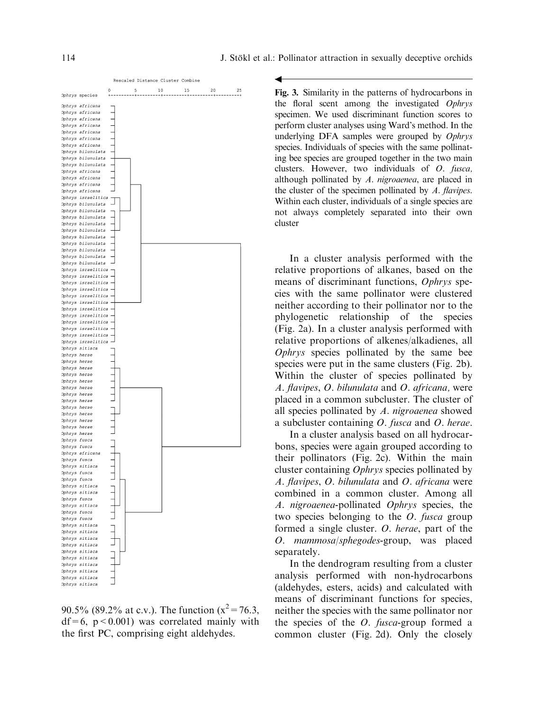*b*



90.5% (89.2% at c.v.). The function  $(x^2 = 76.3,$  $df=6$ ,  $p < 0.001$ ) was correlated mainly with the first PC, comprising eight aldehydes.

Fig. 3. Similarity in the patterns of hydrocarbons in the floral scent among the investigated Ophrys specimen. We used discriminant function scores to perform cluster analyses using Ward's method. In the underlying DFA samples were grouped by Ophrys species. Individuals of species with the same pollinating bee species are grouped together in the two main clusters. However, two individuals of O. fusca, although pollinated by A. nigroaenea, are placed in the cluster of the specimen pollinated by  $A$ . flavipes. Within each cluster, individuals of a single species are not always completely separated into their own cluster

In a cluster analysis performed with the relative proportions of alkanes, based on the means of discriminant functions, Ophrys species with the same pollinator were clustered neither according to their pollinator nor to the phylogenetic relationship of the species (Fig. 2a). In a cluster analysis performed with relative proportions of alkenes/alkadienes, all Ophrys species pollinated by the same bee species were put in the same clusters (Fig. 2b). Within the cluster of species pollinated by A. flavipes, O. bilunulata and O. africana, were placed in a common subcluster. The cluster of all species pollinated by A. nigroaenea showed a subcluster containing  $O$ . fusca and  $O$ . herae.

In a cluster analysis based on all hydrocarbons, species were again grouped according to their pollinators (Fig. 2c). Within the main cluster containing Ophrys species pollinated by A. flavipes, O. bilunulata and O. africana were combined in a common cluster. Among all A. nigroaenea-pollinated Ophrys species, the two species belonging to the  $O$ . fusca group formed a single cluster. O. herae, part of the O. mammosa/sphegodes-group, was placed separately.

In the dendrogram resulting from a cluster analysis performed with non-hydrocarbons (aldehydes, esters, acids) and calculated with means of discriminant functions for species, neither the species with the same pollinator nor the species of the  $O$ . fusca-group formed a common cluster (Fig. 2d). Only the closely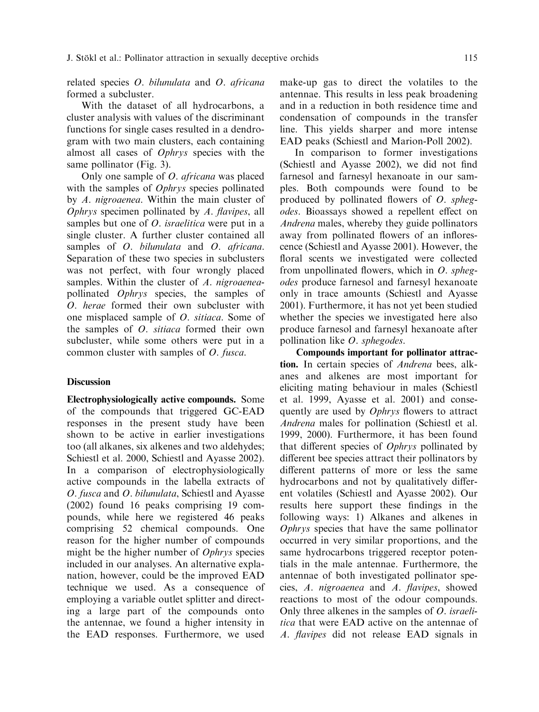related species *O. bilunulata* and *O. africana* formed a subcluster.

With the dataset of all hydrocarbons, a cluster analysis with values of the discriminant functions for single cases resulted in a dendrogram with two main clusters, each containing almost all cases of Ophrys species with the same pollinator (Fig. 3).

Only one sample of O. africana was placed with the samples of *Ophrys* species pollinated by A. nigroaenea. Within the main cluster of Ophrys specimen pollinated by A. flavipes, all samples but one of *O*. *israelitica* were put in a single cluster. A further cluster contained all samples of *O. bilunulata* and *O. africana*. Separation of these two species in subclusters was not perfect, with four wrongly placed samples. Within the cluster of A. nigroaeneapollinated Ophrys species, the samples of O. herae formed their own subcluster with one misplaced sample of O. sitiaca. Some of the samples of O. sitiaca formed their own subcluster, while some others were put in a common cluster with samples of O. fusca.

### **Discussion**

Electrophysiologically active compounds. Some of the compounds that triggered GC-EAD responses in the present study have been shown to be active in earlier investigations too (all alkanes, six alkenes and two aldehydes; Schiestl et al. 2000, Schiestl and Ayasse 2002). In a comparison of electrophysiologically active compounds in the labella extracts of O. fusca and O. bilunulata, Schiestl and Ayasse (2002) found 16 peaks comprising 19 compounds, while here we registered 46 peaks comprising 52 chemical compounds. One reason for the higher number of compounds might be the higher number of *Ophrys* species included in our analyses. An alternative explanation, however, could be the improved EAD technique we used. As a consequence of employing a variable outlet splitter and directing a large part of the compounds onto the antennae, we found a higher intensity in the EAD responses. Furthermore, we used make-up gas to direct the volatiles to the antennae. This results in less peak broadening and in a reduction in both residence time and condensation of compounds in the transfer line. This yields sharper and more intense EAD peaks (Schiestl and Marion-Poll 2002).

In comparison to former investigations (Schiestl and Ayasse 2002), we did not find farnesol and farnesyl hexanoate in our samples. Both compounds were found to be produced by pollinated flowers of O. sphegodes. Bioassays showed a repellent effect on Andrena males, whereby they guide pollinators away from pollinated flowers of an inflorescence (Schiestl and Ayasse 2001). However, the floral scents we investigated were collected from unpollinated flowers, which in O. sphegodes produce farnesol and farnesyl hexanoate only in trace amounts (Schiestl and Ayasse 2001). Furthermore, it has not yet been studied whether the species we investigated here also produce farnesol and farnesyl hexanoate after pollination like O. sphegodes.

Compounds important for pollinator attraction. In certain species of Andrena bees, alkanes and alkenes are most important for eliciting mating behaviour in males (Schiestl et al. 1999, Ayasse et al. 2001) and consequently are used by Ophrys flowers to attract Andrena males for pollination (Schiestl et al. 1999, 2000). Furthermore, it has been found that different species of Ophrys pollinated by different bee species attract their pollinators by different patterns of more or less the same hydrocarbons and not by qualitatively different volatiles (Schiestl and Ayasse 2002). Our results here support these findings in the following ways: 1) Alkanes and alkenes in Ophrys species that have the same pollinator occurred in very similar proportions, and the same hydrocarbons triggered receptor potentials in the male antennae. Furthermore, the antennae of both investigated pollinator species, A. nigroaenea and A. flavipes, showed reactions to most of the odour compounds. Only three alkenes in the samples of O. israelitica that were EAD active on the antennae of A. flavipes did not release EAD signals in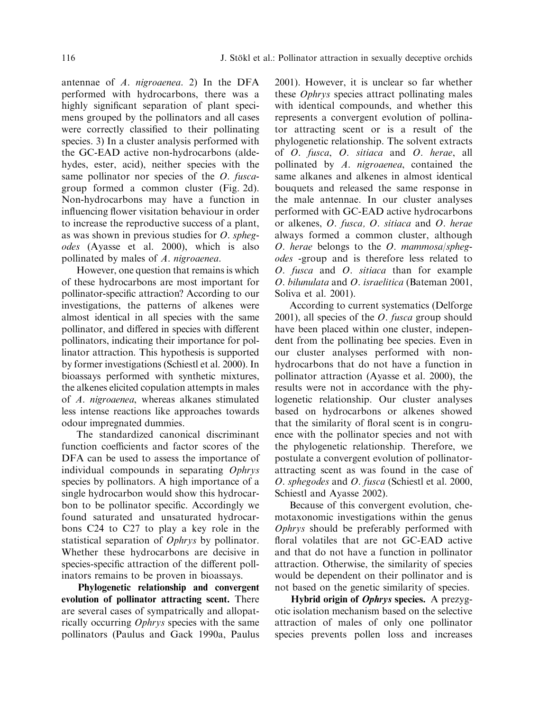antennae of A. nigroaenea. 2) In the DFA performed with hydrocarbons, there was a highly significant separation of plant specimens grouped by the pollinators and all cases were correctly classified to their pollinating species. 3) In a cluster analysis performed with the GC-EAD active non-hydrocarbons (aldehydes, ester, acid), neither species with the same pollinator nor species of the  $O$ . fuscagroup formed a common cluster (Fig. 2d). Non-hydrocarbons may have a function in influencing flower visitation behaviour in order to increase the reproductive success of a plant, as was shown in previous studies for O. sphegodes (Ayasse et al. 2000), which is also pollinated by males of A. nigroaenea.

However, one question that remains is which of these hydrocarbons are most important for pollinator-specific attraction? According to our investigations, the patterns of alkenes were almost identical in all species with the same pollinator, and differed in species with different pollinators, indicating their importance for pollinator attraction. This hypothesis is supported by former investigations (Schiestl et al. 2000). In bioassays performed with synthetic mixtures, the alkenes elicited copulation attempts in males of A. nigroaenea, whereas alkanes stimulated less intense reactions like approaches towards odour impregnated dummies.

The standardized canonical discriminant function coefficients and factor scores of the DFA can be used to assess the importance of individual compounds in separating Ophrys species by pollinators. A high importance of a single hydrocarbon would show this hydrocarbon to be pollinator specific. Accordingly we found saturated and unsaturated hydrocarbons C24 to C27 to play a key role in the statistical separation of Ophrys by pollinator. Whether these hydrocarbons are decisive in species-specific attraction of the different pollinators remains to be proven in bioassays.

Phylogenetic relationship and convergent evolution of pollinator attracting scent. There are several cases of sympatrically and allopatrically occurring Ophrys species with the same pollinators (Paulus and Gack 1990a, Paulus 2001). However, it is unclear so far whether these Ophrys species attract pollinating males with identical compounds, and whether this represents a convergent evolution of pollinator attracting scent or is a result of the phylogenetic relationship. The solvent extracts of O. fusca, O. sitiaca and O. herae, all pollinated by A. nigroaenea, contained the same alkanes and alkenes in almost identical bouquets and released the same response in the male antennae. In our cluster analyses performed with GC-EAD active hydrocarbons or alkenes, O. fusca, O. sitiaca and O. herae always formed a common cluster, although O. herae belongs to the O. mammosa/sphegodes -group and is therefore less related to O. fusca and O. sitiaca than for example O. bilunulata and O. israelitica (Bateman 2001, Soliva et al. 2001).

According to current systematics (Delforge 2001), all species of the *O. fusca* group should have been placed within one cluster, independent from the pollinating bee species. Even in our cluster analyses performed with nonhydrocarbons that do not have a function in pollinator attraction (Ayasse et al. 2000), the results were not in accordance with the phylogenetic relationship. Our cluster analyses based on hydrocarbons or alkenes showed that the similarity of floral scent is in congruence with the pollinator species and not with the phylogenetic relationship. Therefore, we postulate a convergent evolution of pollinatorattracting scent as was found in the case of O. sphegodes and O. fusca (Schiestl et al. 2000, Schiestl and Ayasse 2002).

Because of this convergent evolution, chemotaxonomic investigations within the genus Ophrys should be preferably performed with floral volatiles that are not GC-EAD active and that do not have a function in pollinator attraction. Otherwise, the similarity of species would be dependent on their pollinator and is not based on the genetic similarity of species.

Hybrid origin of *Ophrys* species. A prezygotic isolation mechanism based on the selective attraction of males of only one pollinator species prevents pollen loss and increases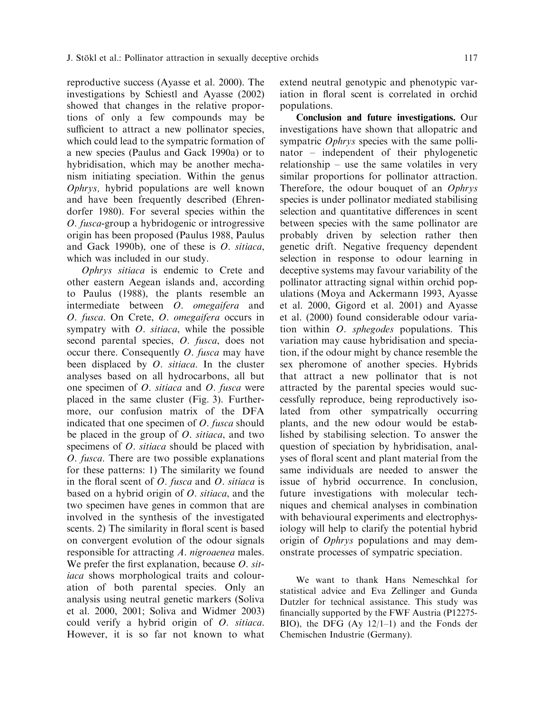reproductive success (Ayasse et al. 2000). The investigations by Schiestl and Ayasse (2002) showed that changes in the relative proportions of only a few compounds may be sufficient to attract a new pollinator species, which could lead to the sympatric formation of a new species (Paulus and Gack 1990a) or to hybridisation, which may be another mechanism initiating speciation. Within the genus Ophrys, hybrid populations are well known and have been frequently described (Ehrendorfer 1980). For several species within the O. fusca-group a hybridogenic or introgressive origin has been proposed (Paulus 1988, Paulus and Gack 1990b), one of these is O. sitiaca, which was included in our study.

Ophrys sitiaca is endemic to Crete and other eastern Aegean islands and, according to Paulus (1988), the plants resemble an intermediate between O. omegaifera and O. fusca. On Crete, O. omegaifera occurs in sympatry with *O. sitiaca*, while the possible second parental species, *O. fusca*, does not occur there. Consequently *O. fusca* may have been displaced by *O. sitiaca*. In the cluster analyses based on all hydrocarbons, all but one specimen of O. sitiaca and O. fusca were placed in the same cluster (Fig. 3). Furthermore, our confusion matrix of the DFA indicated that one specimen of O. fusca should be placed in the group of O. sitiaca, and two specimens of *O. sitiaca* should be placed with O. fusca. There are two possible explanations for these patterns: 1) The similarity we found in the floral scent of O. fusca and O. sitiaca is based on a hybrid origin of O. sitiaca, and the two specimen have genes in common that are involved in the synthesis of the investigated scents. 2) The similarity in floral scent is based on convergent evolution of the odour signals responsible for attracting A. nigroaenea males. We prefer the first explanation, because  $O$ . sitiaca shows morphological traits and colouration of both parental species. Only an analysis using neutral genetic markers (Soliva et al. 2000, 2001; Soliva and Widmer 2003) could verify a hybrid origin of O. sitiaca. However, it is so far not known to what

extend neutral genotypic and phenotypic variation in floral scent is correlated in orchid populations.

Conclusion and future investigations. Our investigations have shown that allopatric and sympatric *Ophrys* species with the same pollinator – independent of their phylogenetic relationship – use the same volatiles in very similar proportions for pollinator attraction. Therefore, the odour bouquet of an Ophrys species is under pollinator mediated stabilising selection and quantitative differences in scent between species with the same pollinator are probably driven by selection rather then genetic drift. Negative frequency dependent selection in response to odour learning in deceptive systems may favour variability of the pollinator attracting signal within orchid populations (Moya and Ackermann 1993, Ayasse et al. 2000, Gigord et al. 2001) and Ayasse et al. (2000) found considerable odour variation within O. sphegodes populations. This variation may cause hybridisation and speciation, if the odour might by chance resemble the sex pheromone of another species. Hybrids that attract a new pollinator that is not attracted by the parental species would successfully reproduce, being reproductively isolated from other sympatrically occurring plants, and the new odour would be established by stabilising selection. To answer the question of speciation by hybridisation, analyses of floral scent and plant material from the same individuals are needed to answer the issue of hybrid occurrence. In conclusion, future investigations with molecular techniques and chemical analyses in combination with behavioural experiments and electrophysiology will help to clarify the potential hybrid origin of Ophrys populations and may demonstrate processes of sympatric speciation.

We want to thank Hans Nemeschkal for statistical advice and Eva Zellinger and Gunda Dutzler for technical assistance. This study was financially supported by the FWF Austria (P12275- BIO), the DFG (Ay 12/1–1) and the Fonds der Chemischen Industrie (Germany).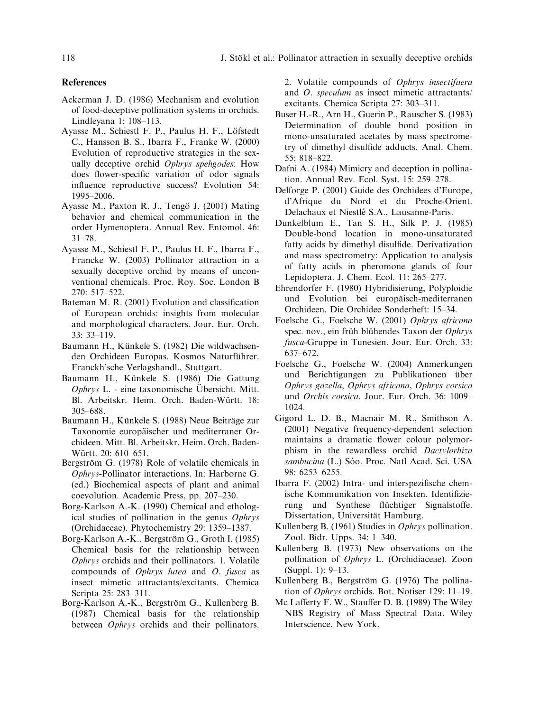### References

- Ackerman J. D. (1986) Mechanism and evolution of food-deceptive pollination systems in orchids. Lindleyana 1: 108–113.
- Ayasse M., Schiestl F. P., Paulus H. F., Löfstedt C., Hansson B. S., Ibarra F., Franke W. (2000) Evolution of reproductive strategies in the sexually deceptive orchid Ophrys spehgodes: How does flower-specific variation of odor signals influence reproductive success? Evolution 54: 1995–2006.
- Ayasse M., Paxton R. J., Tengö J. (2001) Mating behavior and chemical communication in the order Hymenoptera. Annual Rev. Entomol. 46: 31–78.
- Ayasse M., Schiestl F. P., Paulus H. F., Ibarra F., Francke W. (2003) Pollinator attraction in a sexually deceptive orchid by means of unconventional chemicals. Proc. Roy. Soc. London B 270: 517–522.
- Bateman M. R. (2001) Evolution and classification of European orchids: insights from molecular and morphological characters. Jour. Eur. Orch. 33: 33–119.
- Baumann H., Künkele S. (1982) Die wildwachsenden Orchideen Europas. Kosmos Naturführer. Franckh'sche Verlagshandl., Stuttgart.
- Baumann H., Künkele S. (1986) Die Gattung  $Ohrvs$  L. - eine taxonomische Übersicht. Mitt. Bl. Arbeitskr. Heim. Orch. Baden-Württ. 18: 305–688.
- Baumann H., Künkele S. (1988) Neue Beiträge zur Taxonomie europäischer und mediterraner Orchideen. Mitt. Bl. Arbeitskr. Heim. Orch. Baden-Württ. 20: 610–651.
- Bergström G. (1978) Role of volatile chemicals in Ophrys-Pollinator interactions. In: Harborne G. (ed.) Biochemical aspects of plant and animal coevolution. Academic Press, pp. 207–230.
- Borg-Karlson A.-K. (1990) Chemical and ethological studies of pollination in the genus Ophrys (Orchidaceae). Phytochemistry 29: 1359–1387.
- Borg-Karlson A.-K., Bergström G., Groth I. (1985) Chemical basis for the relationship between Ophrys orchids and their pollinators. 1. Volatile compounds of Ophrys lutea and O. fusca as insect mimetic attractants/excitants. Chemica Scripta 25: 283–311.
- Borg-Karlson A.-K., Bergström G., Kullenberg B. (1987) Chemical basis for the relationship between Ophrys orchids and their pollinators.

2. Volatile compounds of Ophrys insectifaera and O. speculum as insect mimetic attractants/ excitants. Chemica Scripta 27: 303–311.

- Buser H.-R., Arn H., Guerin P., Rauscher S. (1983) Determination of double bond position in mono-unsaturated acetates by mass spectrometry of dimethyl disulfide adducts. Anal. Chem. 55: 818–822.
- Dafni A. (1984) Mimicry and deception in pollination. Annual Rev. Ecol. Syst. 15: 259–278.
- Delforge P. (2001) Guide des Orchidees d'Europe, d'Afrique du Nord et du Proche-Orient. Delachaux et Niestlé S.A., Lausanne-Paris.
- Dunkelblum E., Tan S. H., Silk P. J. (1985) Double-bond location in mono-unsaturated fatty acids by dimethyl disulfide. Derivatization and mass spectrometry: Application to analysis of fatty acids in pheromone glands of four Lepidoptera. J. Chem. Ecol. 11: 265–277.
- Ehrendorfer F. (1980) Hybridisierung, Polyploidie und Evolution bei europäisch-mediterranen Orchideen. Die Orchidee Sonderheft: 15–34.
- Foelsche G., Foelsche W. (2001) Ophrys africana spec. nov., ein früh blühendes Taxon der Ophrys fusca-Gruppe in Tunesien. Jour. Eur. Orch. 33: 637–672.
- Foelsche G., Foelsche W. (2004) Anmerkungen und Berichtigungen zu Publikationen über Ophrys gazella, Ophrys africana, Ophrys corsica und Orchis corsica. Jour. Eur. Orch. 36: 1009– 1024.
- Gigord L. D. B., Macnair M. R., Smithson A. (2001) Negative frequency-dependent selection maintains a dramatic flower colour polymorphism in the rewardless orchid Dactylorhiza sambucina (L.) Sóo. Proc. Natl Acad. Sci. USA 98: 6253–6255.
- Ibarra F. (2002) Intra- und interspezifische chemische Kommunikation von Insekten. Identifizierung und Synthese flüchtiger Signalstoffe. Dissertation, Universität Hamburg.
- Kullenberg B. (1961) Studies in Ophrys pollination. Zool. Bidr. Upps. 34: 1–340.
- Kullenberg B. (1973) New observations on the pollination of Ophrys L. (Orchidiaceae). Zoon (Suppl. 1): 9–13.
- Kullenberg B., Bergström G. (1976) The pollination of Ophrys orchids. Bot. Notiser 129: 11–19.
- Mc Lafferty F. W., Stauffer D. B. (1989) The Wiley NBS Registry of Mass Spectral Data. Wiley Interscience, New York.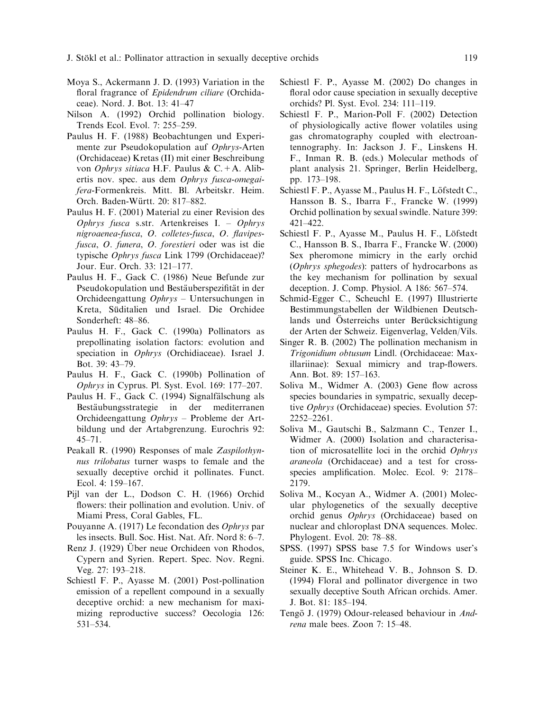- Moya S., Ackermann J. D. (1993) Variation in the floral fragrance of Epidendrum ciliare (Orchidaceae). Nord. J. Bot. 13: 41–47
- Nilson A. (1992) Orchid pollination biology. Trends Ecol. Evol. 7: 255–259.
- Paulus H. F. (1988) Beobachtungen und Experimente zur Pseudokopulation auf Ophrys-Arten (Orchidaceae) Kretas (II) mit einer Beschreibung von Ophrys sitiaca H.F. Paulus & C.+A. Alibertis nov. spec. aus dem Ophrys fusca-omegaifera-Formenkreis. Mitt. Bl. Arbeitskr. Heim. Orch. Baden-Württ. 20: 817–882.
- Paulus H. F. (2001) Material zu einer Revision des Ophrys fusca s.str. Artenkreises I. – Ophrys nigroaenea-fusca, O. colletes-fusca, O. flavipesfusca, O. funera, O. forestieri oder was ist die typische Ophrys fusca Link 1799 (Orchidaceae)? Jour. Eur. Orch. 33: 121–177.
- Paulus H. F., Gack C. (1986) Neue Befunde zur Pseudokopulation und Bestäuberspezifität in der Orchideengattung Ophrys – Untersuchungen in Kreta, Süditalien und Israel. Die Orchidee Sonderheft: 48–86.
- Paulus H. F., Gack C. (1990a) Pollinators as prepollinating isolation factors: evolution and speciation in Ophrys (Orchidiaceae). Israel J. Bot. 39: 43–79.
- Paulus H. F., Gack C. (1990b) Pollination of Ophrys in Cyprus. Pl. Syst. Evol. 169: 177–207.
- Paulus H. F., Gack C. (1994) Signalfälschung als Bestäubungsstrategie in der mediterranen Orchideengattung Ophrys – Probleme der Artbildung und der Artabgrenzung. Eurochris 92: 45–71.
- Peakall R. (1990) Responses of male Zaspilothynnus trilobatus turner wasps to female and the sexually deceptive orchid it pollinates. Funct. Ecol. 4: 159–167.
- Pijl van der L., Dodson C. H. (1966) Orchid flowers: their pollination and evolution. Univ. of Miami Press, Coral Gables, FL.
- Pouyanne A. (1917) Le fecondation des Ophrys par les insects. Bull. Soc. Hist. Nat. Afr. Nord 8: 6–7.
- Renz J. (1929) Über neue Orchideen von Rhodos, Cypern and Syrien. Repert. Spec. Nov. Regni. Veg. 27: 193–218.
- Schiestl F. P., Ayasse M. (2001) Post-pollination emission of a repellent compound in a sexually deceptive orchid: a new mechanism for maximizing reproductive success? Oecologia 126: 531–534.
- Schiestl F. P., Ayasse M. (2002) Do changes in floral odor cause speciation in sexually deceptive orchids? Pl. Syst. Evol. 234: 111–119.
- Schiestl F. P., Marion-Poll F. (2002) Detection of physiologically active flower volatiles using gas chromatography coupled with electroantennography. In: Jackson J. F., Linskens H. F., Inman R. B. (eds.) Molecular methods of plant analysis 21. Springer, Berlin Heidelberg, pp. 173–198.
- Schiestl F. P., Ayasse M., Paulus H. F., Löfstedt C., Hansson B. S., Ibarra F., Francke W. (1999) Orchid pollination by sexual swindle. Nature 399: 421–422.
- Schiestl F. P., Ayasse M., Paulus H. F., Löfstedt C., Hansson B. S., Ibarra F., Francke W. (2000) Sex pheromone mimicry in the early orchid (Ophrys sphegodes): patters of hydrocarbons as the key mechanism for pollination by sexual deception. J. Comp. Physiol. A 186: 567–574.
- Schmid-Egger C., Scheuchl E. (1997) Illustrierte Bestimmungstabellen der Wildbienen Deutschlands und Österreichs unter Berücksichtigung der Arten der Schweiz. Eigenverlag, Velden/Vils.
- Singer R. B. (2002) The pollination mechanism in Trigonidium obtusum Lindl. (Orchidaceae: Maxillariinae): Sexual mimicry and trap-flowers. Ann. Bot. 89: 157–163.
- Soliva M., Widmer A. (2003) Gene flow across species boundaries in sympatric, sexually deceptive Ophrys (Orchidaceae) species. Evolution 57: 2252–2261.
- Soliva M., Gautschi B., Salzmann C., Tenzer I., Widmer A. (2000) Isolation and characterisation of microsatellite loci in the orchid Ophrys araneola (Orchidaceae) and a test for crossspecies amplification. Molec. Ecol. 9: 2178– 2179.
- Soliva M., Kocyan A., Widmer A. (2001) Molecular phylogenetics of the sexually deceptive orchid genus Ophrys (Orchidaceae) based on nuclear and chloroplast DNA sequences. Molec. Phylogent. Evol. 20: 78–88.
- SPSS. (1997) SPSS base 7.5 for Windows user's guide. SPSS Inc. Chicago.
- Steiner K. E., Whitehead V. B., Johnson S. D. (1994) Floral and pollinator divergence in two sexually deceptive South African orchids. Amer. J. Bot. 81: 185–194.
- Tengö J. (1979) Odour-released behaviour in Andrena male bees. Zoon 7: 15–48.